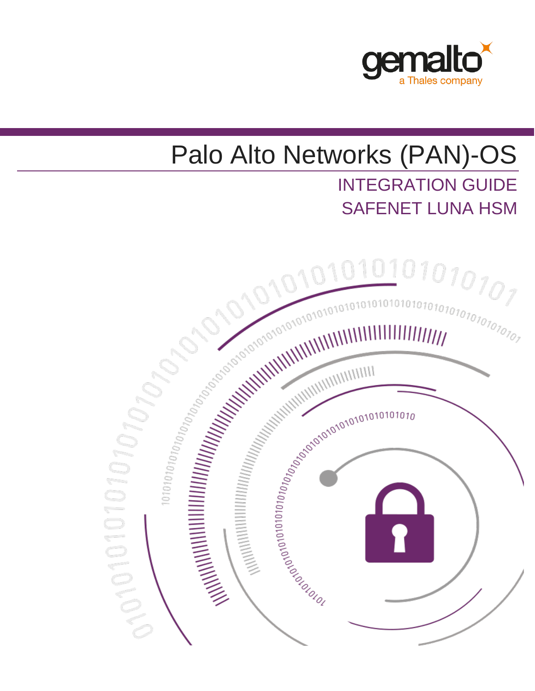

# Palo Alto Networks (PAN)-OS INTEGRATION GUIDE SAFENET LUNA HSM

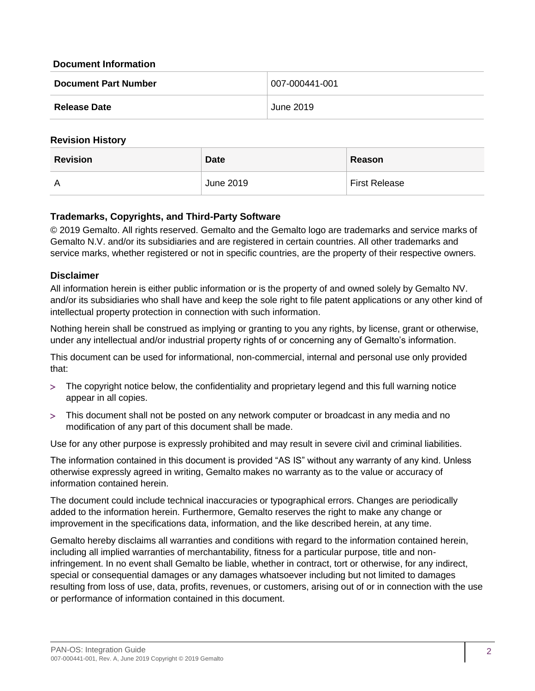#### **Document Information**

| <b>Document Part Number</b> | $ 007 - 000441 - 001$ |
|-----------------------------|-----------------------|
| <b>Release Date</b>         | June 2019             |

#### **Revision History**

| <b>Revision</b> | <b>Date</b> | Reason               |
|-----------------|-------------|----------------------|
| A               | June 2019   | <b>First Release</b> |

### **Trademarks, Copyrights, and Third-Party Software**

© 2019 Gemalto. All rights reserved. Gemalto and the Gemalto logo are trademarks and service marks of Gemalto N.V. and/or its subsidiaries and are registered in certain countries. All other trademarks and service marks, whether registered or not in specific countries, are the property of their respective owners.

### **Disclaimer**

All information herein is either public information or is the property of and owned solely by Gemalto NV. and/or its subsidiaries who shall have and keep the sole right to file patent applications or any other kind of intellectual property protection in connection with such information.

Nothing herein shall be construed as implying or granting to you any rights, by license, grant or otherwise, under any intellectual and/or industrial property rights of or concerning any of Gemalto's information.

This document can be used for informational, non-commercial, internal and personal use only provided that:

- The copyright notice below, the confidentiality and proprietary legend and this full warning notice appear in all copies.
- This document shall not be posted on any network computer or broadcast in any media and no modification of any part of this document shall be made.

Use for any other purpose is expressly prohibited and may result in severe civil and criminal liabilities.

The information contained in this document is provided "AS IS" without any warranty of any kind. Unless otherwise expressly agreed in writing, Gemalto makes no warranty as to the value or accuracy of information contained herein.

The document could include technical inaccuracies or typographical errors. Changes are periodically added to the information herein. Furthermore, Gemalto reserves the right to make any change or improvement in the specifications data, information, and the like described herein, at any time.

Gemalto hereby disclaims all warranties and conditions with regard to the information contained herein, including all implied warranties of merchantability, fitness for a particular purpose, title and noninfringement. In no event shall Gemalto be liable, whether in contract, tort or otherwise, for any indirect, special or consequential damages or any damages whatsoever including but not limited to damages resulting from loss of use, data, profits, revenues, or customers, arising out of or in connection with the use or performance of information contained in this document.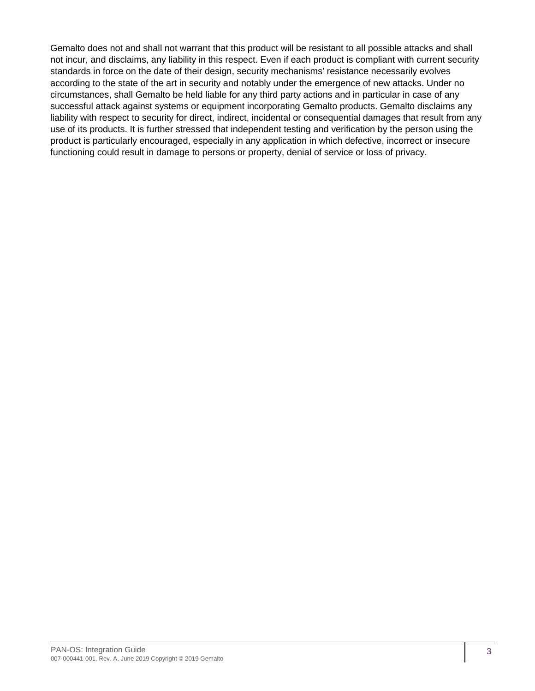Gemalto does not and shall not warrant that this product will be resistant to all possible attacks and shall not incur, and disclaims, any liability in this respect. Even if each product is compliant with current security standards in force on the date of their design, security mechanisms' resistance necessarily evolves according to the state of the art in security and notably under the emergence of new attacks. Under no circumstances, shall Gemalto be held liable for any third party actions and in particular in case of any successful attack against systems or equipment incorporating Gemalto products. Gemalto disclaims any liability with respect to security for direct, indirect, incidental or consequential damages that result from any use of its products. It is further stressed that independent testing and verification by the person using the product is particularly encouraged, especially in any application in which defective, incorrect or insecure functioning could result in damage to persons or property, denial of service or loss of privacy.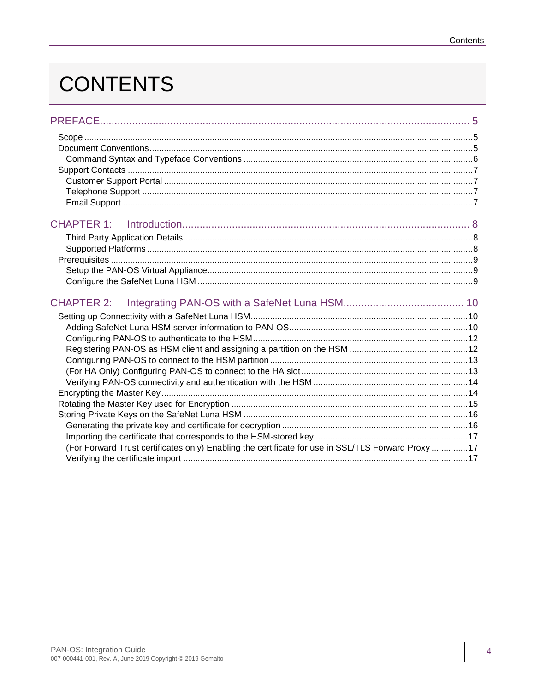# **CONTENTS**

| CHAPTER 1:                                                                                         |  |
|----------------------------------------------------------------------------------------------------|--|
|                                                                                                    |  |
|                                                                                                    |  |
| <b>CHAPTER 2:</b>                                                                                  |  |
|                                                                                                    |  |
|                                                                                                    |  |
|                                                                                                    |  |
|                                                                                                    |  |
| (For Forward Trust certificates only) Enabling the certificate for use in SSL/TLS Forward Proxy 17 |  |
|                                                                                                    |  |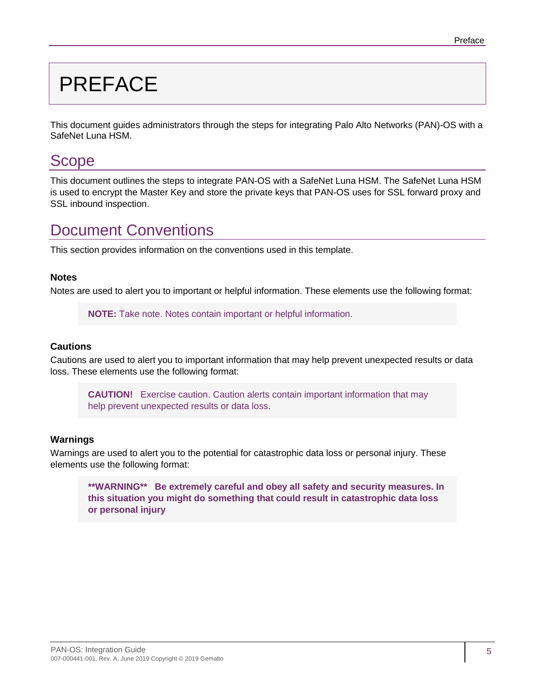# <span id="page-4-0"></span>PREFACE

This document guides administrators through the steps for integrating Palo Alto Networks (PAN)-OS with a SafeNet Luna HSM.

## <span id="page-4-1"></span>**Scope**

This document outlines the steps to integrate PAN-OS with a SafeNet Luna HSM. The SafeNet Luna HSM is used to encrypt the Master Key and store the private keys that PAN-OS uses for SSL forward proxy and SSL inbound inspection.

# <span id="page-4-2"></span>Document Conventions

This section provides information on the conventions used in this template.

#### **Notes**

Notes are used to alert you to important or helpful information. These elements use the following format:

**NOTE:** Take note. Notes contain important or helpful information.

#### **Cautions**

Cautions are used to alert you to important information that may help prevent unexpected results or data loss. These elements use the following format:

**CAUTION!** Exercise caution. Caution alerts contain important information that may help prevent unexpected results or data loss.

#### **Warnings**

Warnings are used to alert you to the potential for catastrophic data loss or personal injury. These elements use the following format:

**\*\*WARNING\*\* Be extremely careful and obey all safety and security measures. In this situation you might do something that could result in catastrophic data loss or personal injury**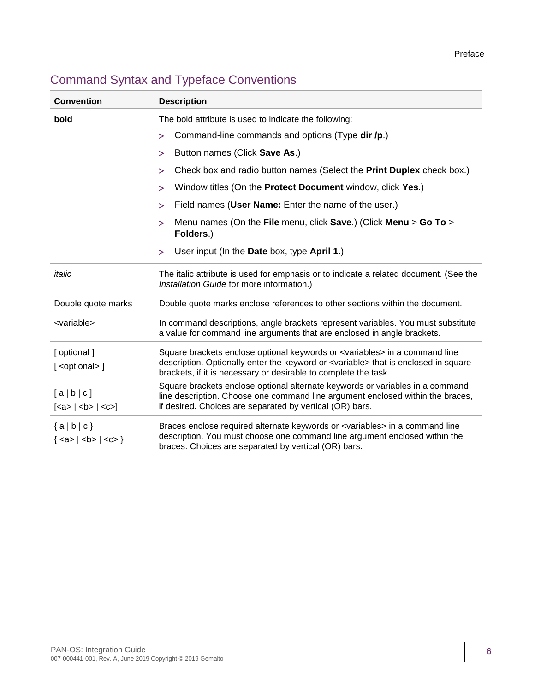| <b>Convention</b>                      | <b>Description</b>                                                                                                                                                                                                                                           |  |
|----------------------------------------|--------------------------------------------------------------------------------------------------------------------------------------------------------------------------------------------------------------------------------------------------------------|--|
| bold                                   | The bold attribute is used to indicate the following:                                                                                                                                                                                                        |  |
|                                        | Command-line commands and options (Type dir /p.)<br>$\geq$                                                                                                                                                                                                   |  |
|                                        | Button names (Click Save As.)<br>⋗                                                                                                                                                                                                                           |  |
|                                        | Check box and radio button names (Select the Print Duplex check box.)<br>$\geq$                                                                                                                                                                              |  |
|                                        | Window titles (On the Protect Document window, click Yes.)<br>>                                                                                                                                                                                              |  |
|                                        | Field names (User Name: Enter the name of the user.)<br>>                                                                                                                                                                                                    |  |
|                                        | Menu names (On the File menu, click Save.) (Click Menu > Go To ><br>⋗<br>Folders.)                                                                                                                                                                           |  |
|                                        | User input (In the Date box, type April 1.)<br>⋗                                                                                                                                                                                                             |  |
| italic                                 | The italic attribute is used for emphasis or to indicate a related document. (See the<br>Installation Guide for more information.)                                                                                                                           |  |
| Double quote marks                     | Double quote marks enclose references to other sections within the document.                                                                                                                                                                                 |  |
| <variable></variable>                  | In command descriptions, angle brackets represent variables. You must substitute<br>a value for command line arguments that are enclosed in angle brackets.                                                                                                  |  |
| [optional]<br>[ <optional>]</optional> | Square brackets enclose optional keywords or <variables> in a command line<br/>description. Optionally enter the keyword or <variable> that is enclosed in square<br/>brackets, if it is necessary or desirable to complete the task.</variable></variables> |  |
| [a b c]<br>$[ca> $ < b > $ $ < c > $]$ | Square brackets enclose optional alternate keywords or variables in a command<br>line description. Choose one command line argument enclosed within the braces,<br>if desired. Choices are separated by vertical (OR) bars.                                  |  |
| ${a b c}$<br>${ <a>   <b>   <c>}$      | Braces enclose required alternate keywords or <variables> in a command line<br/>description. You must choose one command line argument enclosed within the<br/>braces. Choices are separated by vertical (OR) bars.</variables>                              |  |

## <span id="page-5-0"></span>Command Syntax and Typeface Conventions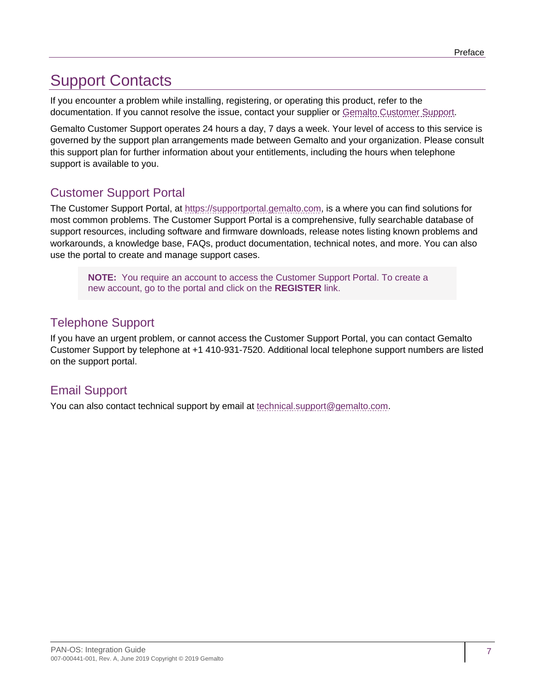# <span id="page-6-0"></span>Support Contacts

If you encounter a problem while installing, registering, or operating this product, refer to the documentation. If you cannot resolve the issue, contact your supplier or [Gemalto Customer Support.](https://supportportal.gemalto.com/)

Gemalto Customer Support operates 24 hours a day, 7 days a week. Your level of access to this service is governed by the support plan arrangements made between Gemalto and your organization. Please consult this support plan for further information about your entitlements, including the hours when telephone support is available to you.

## <span id="page-6-1"></span>Customer Support Portal

The Customer Support Portal, at [https://supportportal.gemalto.com,](https://supportportal.gemalto.com/) is a where you can find solutions for most common problems. The Customer Support Portal is a comprehensive, fully searchable database of support resources, including software and firmware downloads, release notes listing known problems and workarounds, a knowledge base, FAQs, product documentation, technical notes, and more. You can also use the portal to create and manage support cases.

**NOTE:** You require an account to access the Customer Support Portal. To create a new account, go to the portal and click on the **REGISTER** link.

## <span id="page-6-2"></span>Telephone Support

If you have an urgent problem, or cannot access the Customer Support Portal, you can contact Gemalto Customer Support by telephone at +1 410-931-7520. Additional local telephone support numbers are listed on the support portal.

## <span id="page-6-3"></span>Email Support

You can also contact technical support by email at [technical.support@gemalto.com.](mailto:technical.support@gemalto.com)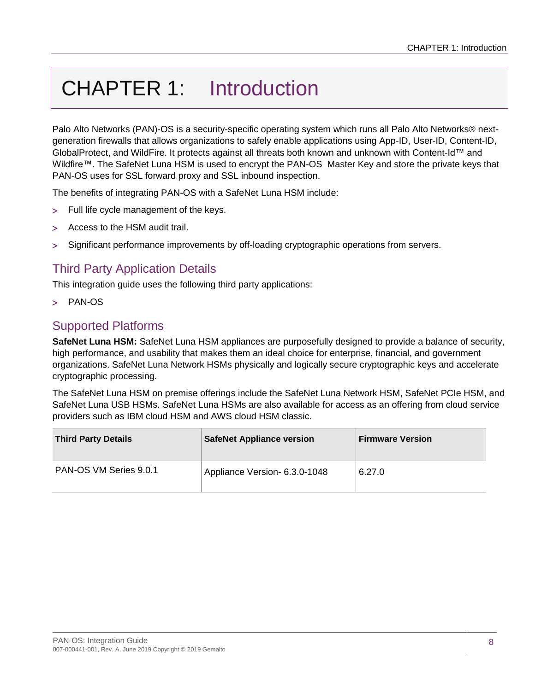# <span id="page-7-0"></span>CHAPTER 1: Introduction

Palo Alto Networks (PAN)-OS is a security-specific operating system which runs all Palo Alto Networks® nextgeneration firewalls that allows organizations to safely enable applications using App-ID, User-ID, Content-ID, GlobalProtect, and WildFire. It protects against all threats both known and unknown with Content-Id™ and Wildfire™. The SafeNet Luna HSM is used to encrypt the PAN-OS Master Key and store the private keys that PAN-OS uses for SSL forward proxy and SSL inbound inspection.

The benefits of integrating PAN-OS with a SafeNet Luna HSM include:

- Full life cycle management of the keys.
- Access to the HSM audit trail.
- Significant performance improvements by off-loading cryptographic operations from servers.

## <span id="page-7-1"></span>Third Party Application Details

This integration guide uses the following third party applications:

> PAN-OS

## <span id="page-7-2"></span>Supported Platforms

**SafeNet Luna HSM:** SafeNet Luna HSM appliances are purposefully designed to provide a balance of security, high performance, and usability that makes them an ideal choice for enterprise, financial, and government organizations. SafeNet Luna Network HSMs physically and logically secure cryptographic keys and accelerate cryptographic processing.

The SafeNet Luna HSM on premise offerings include the SafeNet Luna Network HSM, SafeNet PCIe HSM, and SafeNet Luna USB HSMs. SafeNet Luna HSMs are also available for access as an offering from cloud service providers such as IBM cloud HSM and AWS cloud HSM classic.

| <b>Third Party Details</b> | <b>SafeNet Appliance version</b> | <b>Firmware Version</b> |
|----------------------------|----------------------------------|-------------------------|
| PAN-OS VM Series 9.0.1     | Appliance Version- 6.3.0-1048    | 6.27.0                  |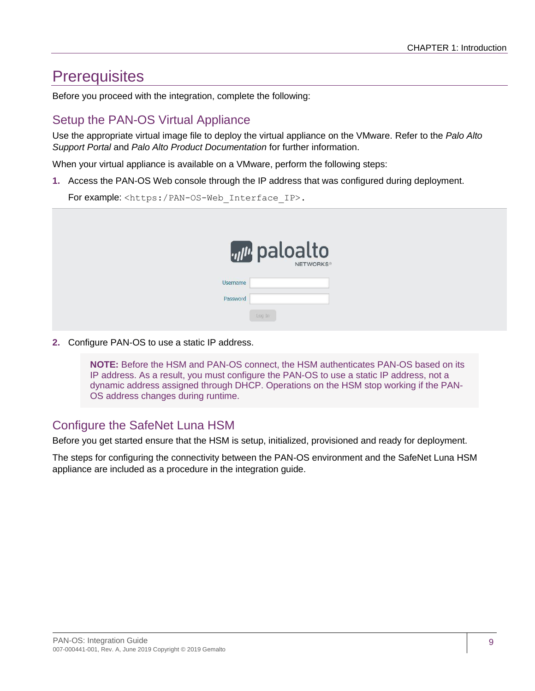## <span id="page-8-0"></span>**Prerequisites**

Before you proceed with the integration, complete the following:

## <span id="page-8-1"></span>Setup the PAN-OS Virtual Appliance

Use the appropriate virtual image file to deploy the virtual appliance on the VMware. Refer to the *Palo Alto Support Portal* and *Palo Alto Product Documentation* for further information.

When your virtual appliance is available on a VMware, perform the following steps:

**1.** Access the PAN-OS Web console through the IP address that was configured during deployment.

For example: <https:/PAN-OS-Web\_Interface\_IP>.

| <b><i>villi</i></b> paloalto |  |
|------------------------------|--|
| <b>Username</b>              |  |
| Password                     |  |
| Log In                       |  |

**2.** Configure PAN-OS to use a static IP address.

**NOTE:** Before the HSM and PAN-OS connect, the HSM authenticates PAN-OS based on its IP address. As a result, you must configure the PAN-OS to use a static IP address, not a dynamic address assigned through DHCP. Operations on the HSM stop working if the PAN-OS address changes during runtime.

## <span id="page-8-2"></span>Configure the SafeNet Luna HSM

Before you get started ensure that the HSM is setup, initialized, provisioned and ready for deployment.

The steps for configuring the connectivity between the PAN-OS environment and the SafeNet Luna HSM appliance are included as a procedure in the integration guide.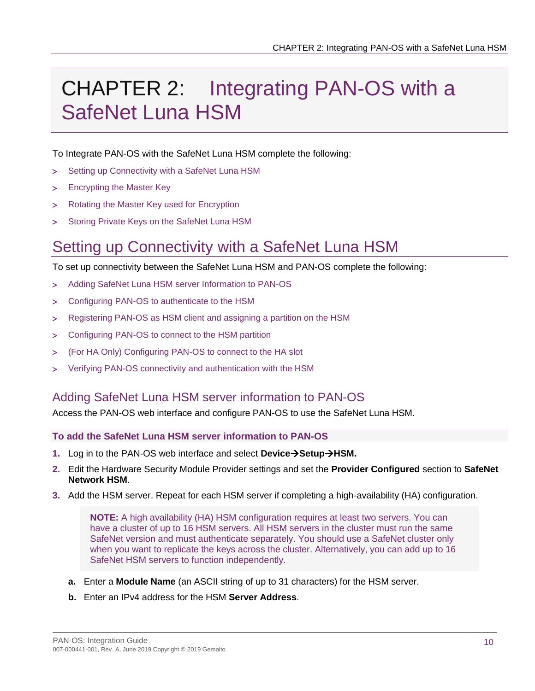# <span id="page-9-0"></span>CHAPTER 2: Integrating PAN-OS with a SafeNet Luna HSM

To Integrate PAN-OS with the SafeNet Luna HSM complete the following:

- > [Setting up Connectivity with a SafeNet Luna HSM](#page-9-1)
- > [Encrypting the Master Key](#page-13-1)
- > [Rotating the Master Key used for Encryption](#page-14-0)
- > [Storing Private Keys on the SafeNet Luna HSM](#page-15-0)

# <span id="page-9-1"></span>Setting up Connectivity with a SafeNet Luna HSM

To set up connectivity between the SafeNet Luna HSM and PAN-OS complete the following:

- [Adding SafeNet Luna HSM server Information to PAN-OS](#page-9-2)
- [Configuring PAN-OS to authenticate to the HSM](#page-11-0)
- [Registering PAN-OS as HSM client and assigning a partition on the HSM](#page-11-1)
- > [Configuring PAN-OS to connect to the HSM partition](#page-12-0)
- [\(For HA Only\) Configuring PAN-OS to connect to the HA slot](#page-12-1)
- [Verifying PAN-OS connectivity and authentication with the HSM](#page-13-0)

## <span id="page-9-2"></span>Adding SafeNet Luna HSM server information to PAN-OS

Access the PAN-OS web interface and configure PAN-OS to use the SafeNet Luna HSM.

**To add the SafeNet Luna HSM server information to PAN-OS**

- **1.** Log in to the PAN-OS web interface and select **DeviceSetupHSM.**
- **2.** Edit the Hardware Security Module Provider settings and set the **Provider Configured** section to **SafeNet Network HSM**.
- **3.** Add the HSM server. Repeat for each HSM server if completing a high-availability (HA) configuration.

**NOTE:** A high availability (HA) HSM configuration requires at least two servers. You can have a cluster of up to 16 HSM servers. All HSM servers in the cluster must run the same SafeNet version and must authenticate separately. You should use a SafeNet cluster only when you want to replicate the keys across the cluster. Alternatively, you can add up to 16 SafeNet HSM servers to function independently.

- **a.** Enter a **Module Name** (an ASCII string of up to 31 characters) for the HSM server.
- **b.** Enter an IPv4 address for the HSM **Server Address**.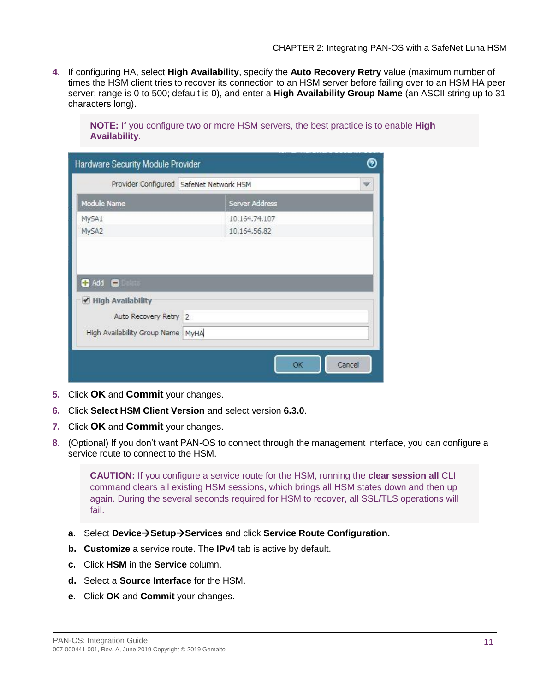**4.** If configuring HA, select **High Availability**, specify the **Auto Recovery Retry** value (maximum number of times the HSM client tries to recover its connection to an HSM server before failing over to an HSM HA peer server; range is 0 to 500; default is 0), and enter a **High Availability Group Name** (an ASCII string up to 31 characters long).

**NOTE:** If you configure two or more HSM servers, the best practice is to enable **High Availability**.

| Hardware Security Module Provider         |                               |    | ൫      |
|-------------------------------------------|-------------------------------|----|--------|
| Provider Configured SafeNet Network HSM   |                               |    | v      |
| Module Name                               | Server Address                |    |        |
| MySA1<br>MySA2<br>$\bullet$ Add $\bullet$ | 10.164.74.107<br>10,164,56,82 |    |        |
| High Availability                         |                               |    |        |
| Auto Recovery Retry 2                     |                               |    |        |
| High Availability Group Name MyHA         |                               |    |        |
|                                           |                               | OK | Cancel |

- **5.** Click **OK** and **Commit** your changes.
- **6.** Click **Select HSM Client Version** and select version **6.3.0**.
- **7.** Click **OK** and **Commit** your changes.
- **8.** (Optional) If you don't want PAN-OS to connect through the management interface, you can configure a service route to connect to the HSM.

**CAUTION:** If you configure a service route for the HSM, running the **clear session all** CLI command clears all existing HSM sessions, which brings all HSM states down and then up again. During the several seconds required for HSM to recover, all SSL/TLS operations will fail.

- **a.** Select **DeviceSetupServices** and click **Service Route Configuration.**
- **b. Customize** a service route. The **IPv4** tab is active by default.
- **c.** Click **HSM** in the **Service** column.
- **d.** Select a **Source Interface** for the HSM.
- **e.** Click **OK** and **Commit** your changes.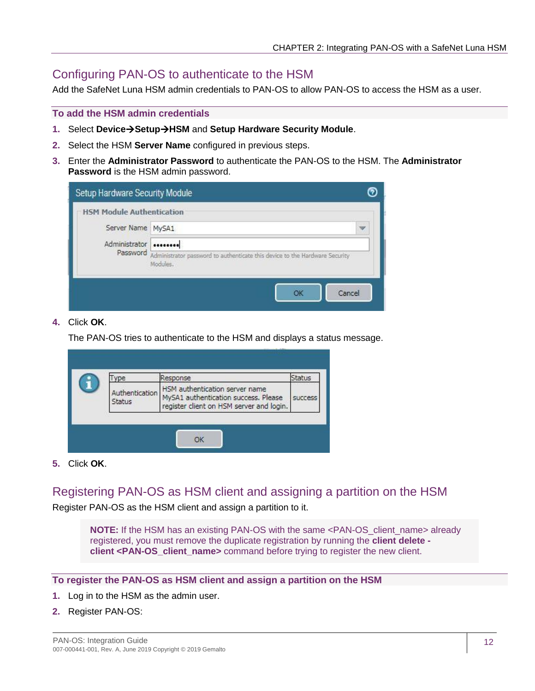## <span id="page-11-0"></span>Configuring PAN-OS to authenticate to the HSM

Add the SafeNet Luna HSM admin credentials to PAN-OS to allow PAN-OS to access the HSM as a user.

#### **To add the HSM admin credentials**

- **1.** Select **DeviceSetupHSM** and **Setup Hardware Security Module**.
- **2.** Select the HSM **Server Name** configured in previous steps.
- **3.** Enter the **Administrator Password** to authenticate the PAN-OS to the HSM. The **Administrator Password** is the HSM admin password.

|                                  | Setup Hardware Security Module                                                                   |                         |
|----------------------------------|--------------------------------------------------------------------------------------------------|-------------------------|
| <b>HSM Module Authentication</b> |                                                                                                  |                         |
| Server Name MySA1                |                                                                                                  | $\overline{\mathbf{v}}$ |
| Administrator                    |                                                                                                  |                         |
|                                  | Password Administrator password to authenticate this device to the Hardware Security<br>Modules. |                         |

#### **4.** Click **OK**.

The PAN-OS tries to authenticate to the HSM and displays a status message.

| ype                      | Response                                                                                                           | Status         |
|--------------------------|--------------------------------------------------------------------------------------------------------------------|----------------|
| Authentication<br>Status | HSM authentication server name<br>MySA1 authentication success. Please<br>register client on HSM server and login. | <b>SUCCess</b> |

**5.** Click **OK**.

<span id="page-11-1"></span>Registering PAN-OS as HSM client and assigning a partition on the HSM

Register PAN-OS as the HSM client and assign a partition to it.

**NOTE:** If the HSM has an existing PAN-OS with the same <PAN-OS client name> already registered, you must remove the duplicate registration by running the **client delete client <PAN-OS\_client\_name>** command before trying to register the new client.

#### **To register the PAN-OS as HSM client and assign a partition on the HSM**

- **1.** Log in to the HSM as the admin user.
- **2.** Register PAN-OS: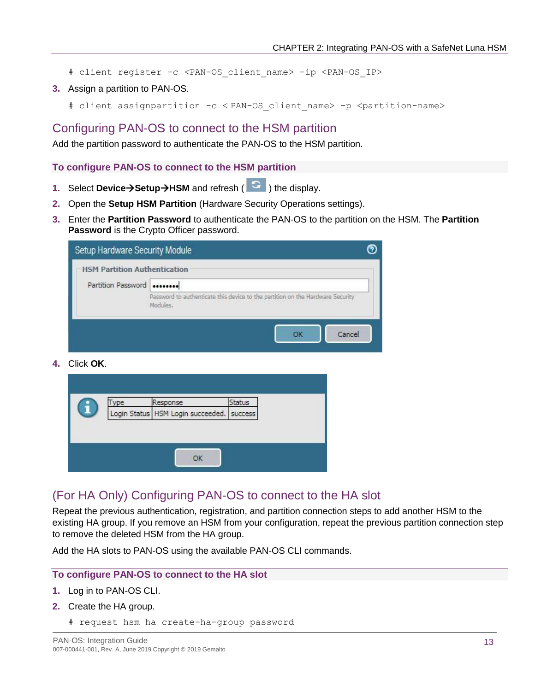- # client register -c *<*PAN-OS\_client\_name> -ip <PAN-OS\_IP>
- **3.** Assign a partition to PAN-OS.
	- # client assignpartition -c < PAN-OS\_client\_name> -p <partition-name>

## <span id="page-12-0"></span>Configuring PAN-OS to connect to the HSM partition

Add the partition password to authenticate the PAN-OS to the HSM partition.

**To configure PAN-OS to connect to the HSM partition**

- 1. Select **Device > Setup > HSM** and refresh (  $\text{G}$  ) the display.
- **2.** Open the **Setup HSM Partition** (Hardware Security Operations settings).
- **3.** Enter the **Partition Password** to authenticate the PAN-OS to the partition on the HSM. The **Partition Password** is the Crypto Officer password.

| Setup Hardware Security Module<br><b>HSM Partition Authentication</b> |                                                                                            |  |
|-----------------------------------------------------------------------|--------------------------------------------------------------------------------------------|--|
| Partition Password                                                    |                                                                                            |  |
|                                                                       | Password to authenticate this device to the partition on the Hardware Security<br>Modules. |  |
|                                                                       | Cancel                                                                                     |  |

**4.** Click **OK**.

| Login Status   HSM Login succeeded.   success |  |
|-----------------------------------------------|--|
|                                               |  |
|                                               |  |
|                                               |  |
|                                               |  |

### <span id="page-12-1"></span>(For HA Only) Configuring PAN-OS to connect to the HA slot

Repeat the previous authentication, registration, and partition connection steps to add another HSM to the existing HA group. If you remove an HSM from your configuration, repeat the previous partition connection step to remove the deleted HSM from the HA group.

Add the HA slots to PAN-OS using the available PAN-OS CLI commands.

#### **To configure PAN-OS to connect to the HA slot**

- **1.** Log in to PAN-OS CLI.
- **2.** Create the HA group.
	- # request hsm ha create-ha-group password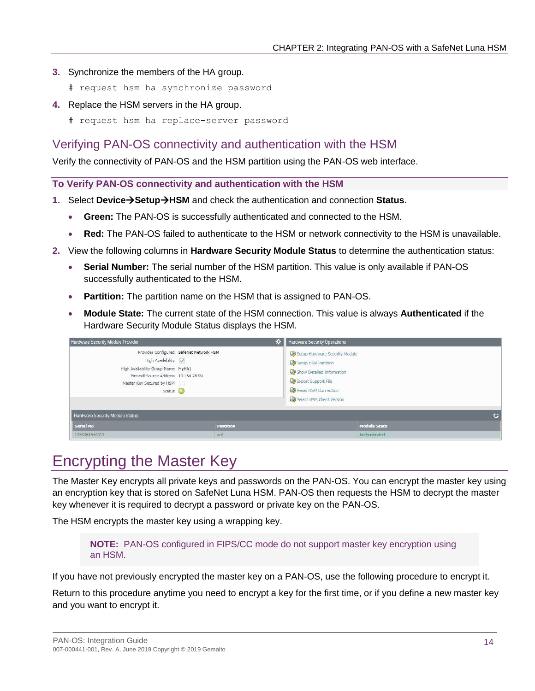- **3.** Synchronize the members of the HA group.
	- # request hsm ha synchronize password
- **4.** Replace the HSM servers in the HA group.
	- # request hsm ha replace-server password

## <span id="page-13-0"></span>Verifying PAN-OS connectivity and authentication with the HSM

Verify the connectivity of PAN-OS and the HSM partition using the PAN-OS web interface.

**To Verify PAN-OS connectivity and authentication with the HSM**

- **1.** Select **DeviceSetupHSM** and check the authentication and connection **Status**.
	- **Green:** The PAN-OS is successfully authenticated and connected to the HSM.
	- **Red:** The PAN-OS failed to authenticate to the HSM or network connectivity to the HSM is unavailable.
- **2.** View the following columns in **Hardware Security Module Status** to determine the authentication status:
	- **Serial Number:** The serial number of the HSM partition. This value is only available if PAN-OS successfully authenticated to the HSM.
	- **Partition:** The partition name on the HSM that is assigned to PAN-OS.
	- **Module State:** The current state of the HSM connection. This value is always **Authenticated** if the Hardware Security Module Status displays the HSM.

| Hardware Security Module Provider                                                                                                        | ∗                                       | Hardware Security Operations                                                                                                                                   |
|------------------------------------------------------------------------------------------------------------------------------------------|-----------------------------------------|----------------------------------------------------------------------------------------------------------------------------------------------------------------|
| High Availability<br>High Availability Group Name MyHA1<br>Firewall Source Address 10.164.78.99<br>Master Key Secured by HSM<br>Status O | Provider Configured SafeNet Network HSM | Setup Hardware Security Module<br>Setup HSM Partition<br>Show Detailed Information<br>Export Support File<br>Reset HSM Connection<br>Select HSM Client Version |
| Hardware Security Module Status                                                                                                          |                                         | c                                                                                                                                                              |
| <b>Serial No</b>                                                                                                                         | <b>Partition</b>                        | <b>Module State</b>                                                                                                                                            |
| 1233061544413                                                                                                                            | arif                                    | Authenticated                                                                                                                                                  |

# <span id="page-13-1"></span>Encrypting the Master Key

The Master Key encrypts all private keys and passwords on the PAN-OS. You can encrypt the master key using an encryption key that is stored on SafeNet Luna HSM. PAN-OS then requests the HSM to decrypt the master key whenever it is required to decrypt a password or private key on the PAN-OS.

The HSM encrypts the master key using a wrapping key.

**NOTE:** PAN-OS configured in FIPS/CC mode do not support master key encryption using an HSM.

If you have not previously encrypted the master key on a PAN-OS, use the following procedure to encrypt it.

Return to this procedure anytime you need to encrypt a key for the first time, or if you define a new master key and you want to encrypt it.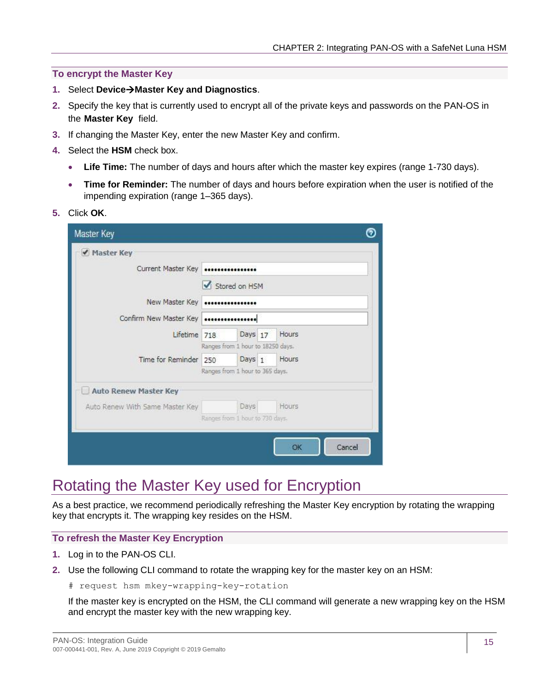#### **To encrypt the Master Key**

- **1.** Select **DeviceMaster Key and Diagnostics**.
- **2.** Specify the key that is currently used to encrypt all of the private keys and passwords on the PAN-OS in the **Master Key** field.
- **3.** If changing the Master Key, enter the new Master Key and confirm.
- **4.** Select the **HSM** check box.
	- **Life Time:** The number of days and hours after which the master key expires (range 1-730 days).
	- **Time for Reminder:** The number of days and hours before expiration when the user is notified of the impending expiration (range 1–365 days).
- **5.** Click **OK**.

| Stored on HSM                     |                    |  |                                                                                                            |  |  |  |  |  |  |
|-----------------------------------|--------------------|--|------------------------------------------------------------------------------------------------------------|--|--|--|--|--|--|
| New Master Key                    |                    |  |                                                                                                            |  |  |  |  |  |  |
| Confirm New Master Key            |                    |  |                                                                                                            |  |  |  |  |  |  |
| Lifetime 718                      |                    |  | Hours                                                                                                      |  |  |  |  |  |  |
| Ranges from 1 hour to 18250 days. |                    |  |                                                                                                            |  |  |  |  |  |  |
| Time for Reminder 250             |                    |  | Hours                                                                                                      |  |  |  |  |  |  |
|                                   |                    |  |                                                                                                            |  |  |  |  |  |  |
|                                   |                    |  |                                                                                                            |  |  |  |  |  |  |
|                                   |                    |  | Hours                                                                                                      |  |  |  |  |  |  |
|                                   |                    |  |                                                                                                            |  |  |  |  |  |  |
|                                   |                    |  |                                                                                                            |  |  |  |  |  |  |
|                                   |                    |  | OK<br>Cancel                                                                                               |  |  |  |  |  |  |
|                                   | Current Master Key |  | Days 17<br>Days <sub>1</sub><br>Ranges from 1 hour to 365 days.<br>Days<br>Ranges from 1 hour to 730 days. |  |  |  |  |  |  |

## <span id="page-14-0"></span>Rotating the Master Key used for Encryption

As a best practice, we recommend periodically refreshing the Master Key encryption by rotating the wrapping key that encrypts it. The wrapping key resides on the HSM.

#### **To refresh the Master Key Encryption**

- **1.** Log in to the PAN-OS CLI.
- **2.** Use the following CLI command to rotate the wrapping key for the master key on an HSM:
	- # request hsm mkey-wrapping-key-rotation

If the master key is encrypted on the HSM, the CLI command will generate a new wrapping key on the HSM and encrypt the master key with the new wrapping key.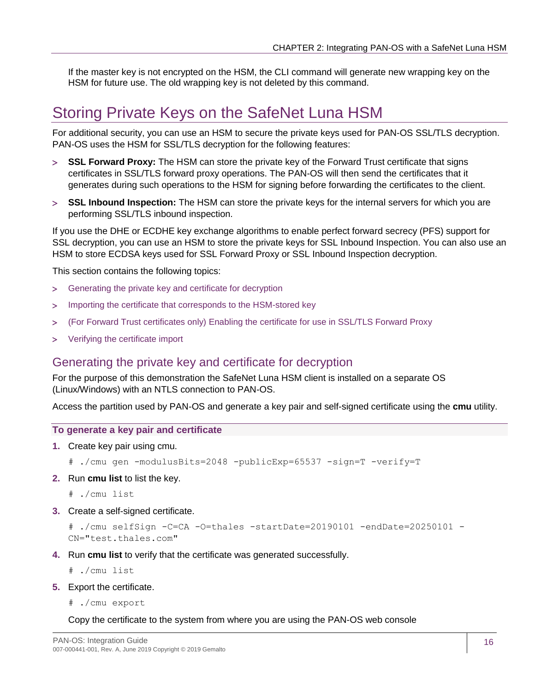If the master key is not encrypted on the HSM, the CLI command will generate new wrapping key on the HSM for future use. The old wrapping key is not deleted by this command.

## <span id="page-15-0"></span>Storing Private Keys on the SafeNet Luna HSM

For additional security, you can use an HSM to secure the private keys used for PAN-OS SSL/TLS decryption. PAN-OS uses the HSM for SSL/TLS decryption for the following features:

- **SSL Forward Proxy:** The HSM can store the private key of the Forward Trust certificate that signs certificates in SSL/TLS forward proxy operations. The PAN-OS will then send the certificates that it generates during such operations to the HSM for signing before forwarding the certificates to the client.
- **[SSL Inbound Inspection:](https://docs.paloaltonetworks.com/content/techdocs/en_US/pan-os/9-0/pan-os-admin/decryption/decryption-concepts/ssl-inbound-inspection.html#id8e14546e-d8d9-485b-a936-64119ef7ad61)** The HSM can store the private keys for the internal servers for which you are performing SSL/TLS inbound inspection.

If you use the DHE or ECDHE key exchange algorithms to enable perfect forward secrecy (PFS) support for SSL decryption, you can use an HSM to store the private keys for SSL Inbound Inspection. You can also use an HSM to store ECDSA keys used for SSL Forward Proxy or SSL Inbound Inspection decryption.

This section contains the following topics:

- [Generating the private key and certificate for decryption](#page-15-1)
- > Importing [the certificate that corresponds to the HSM-stored key](#page-16-0)
- (For Forward Trust certificates only) Enabling [the certificate for use in SSL/TLS Forward Proxy](#page-16-1)
- [Verifying the certificate import](#page-16-2)

### <span id="page-15-1"></span>Generating the private key and certificate for decryption

For the purpose of this demonstration the SafeNet Luna HSM client is installed on a separate OS (Linux/Windows) with an NTLS connection to PAN-OS.

Access the partition used by PAN-OS and generate a key pair and self-signed certificate using the **cmu** utility.

#### **To generate a key pair and certificate**

**1.** Create key pair using cmu.

# ./cmu gen -modulusBits=2048 -publicExp=65537 -sign=T -verify=T

**2.** Run **cmu list** to list the key.

# ./cmu list

**3.** Create a self-signed certificate.

```
# ./cmu selfSign -C=CA -O=thales -startDate=20190101 -endDate=20250101 -
CN="test.thales.com"
```
**4.** Run **cmu list** to verify that the certificate was generated successfully.

# ./cmu list

- **5.** Export the certificate.
	- # ./cmu export

#### Copy the certificate to the system from where you are using the PAN-OS web console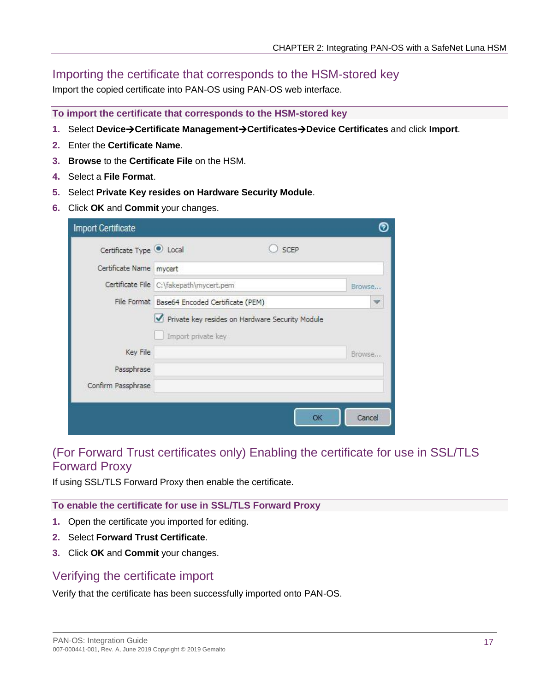## <span id="page-16-0"></span>Importing the certificate that corresponds to the HSM-stored key

Import the copied certificate into PAN-OS using PAN-OS web interface.

**To import the certificate that corresponds to the HSM-stored key**

- **1.** Select **DeviceCertificate ManagementCertificatesDevice Certificates** and click **Import**.
- **2.** Enter the **Certificate Name**.
- **3. Browse** to the **Certificate File** on the HSM.
- **4.** Select a **File Format**.
- **5.** Select **Private Key resides on Hardware Security Module**.
- **6.** Click **OK** and **Commit** your changes.

| <b>Import Certificate</b> |                                                                       |        |    |                          |
|---------------------------|-----------------------------------------------------------------------|--------|----|--------------------------|
| Certificate Type C Local  |                                                                       | SCEP   |    |                          |
| Certificate Name   mycert |                                                                       |        |    |                          |
|                           | Certificate File C:\fakepath\mycert.pem                               | Browse |    |                          |
|                           | File Format Base64 Encoded Certificate (PEM)                          |        |    | $\overline{\mathscr{L}}$ |
|                           | Private key resides on Hardware Security Module<br>Import private key |        |    |                          |
| Key File                  |                                                                       |        |    | Browse                   |
| Passphrase                |                                                                       |        |    |                          |
| Confirm Passphrase        |                                                                       |        |    |                          |
|                           |                                                                       |        | OK | Cancel                   |

## <span id="page-16-1"></span>(For Forward Trust certificates only) Enabling the certificate for use in SSL/TLS Forward Proxy

If using SSL/TLS Forward Proxy then enable the certificate.

### **To enable the certificate for use in SSL/TLS Forward Proxy**

- **1.** Open the certificate you imported for editing.
- **2.** Select **Forward Trust Certificate**.
- **3.** Click **OK** and **Commit** your changes.

## <span id="page-16-2"></span>Verifying the certificate import

Verify that the certificate has been successfully imported onto PAN-OS.